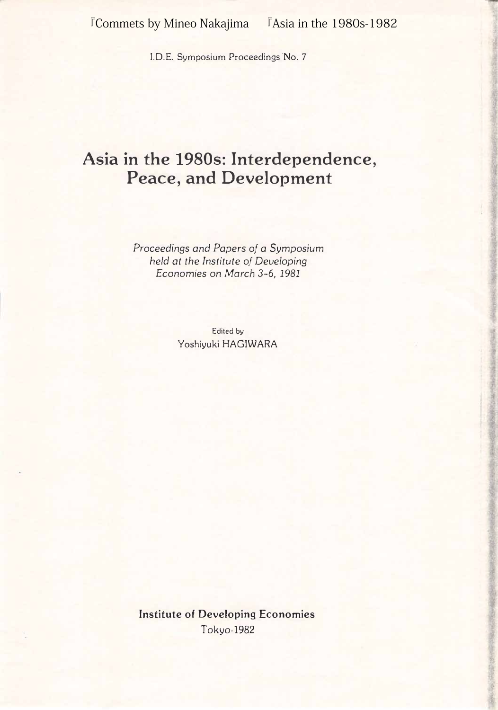I. D.E. Symposium Proceedings No. 7

## Asia in the 1980s: Interdependence, Peace, and Development

Proceedings and Papers of a Symposium held at the Institute of Developing Economies on March 3-6, 1981

> Edited by Yoshiyuki HAGIWARA

Institute of Developing Economies Tokyo-1982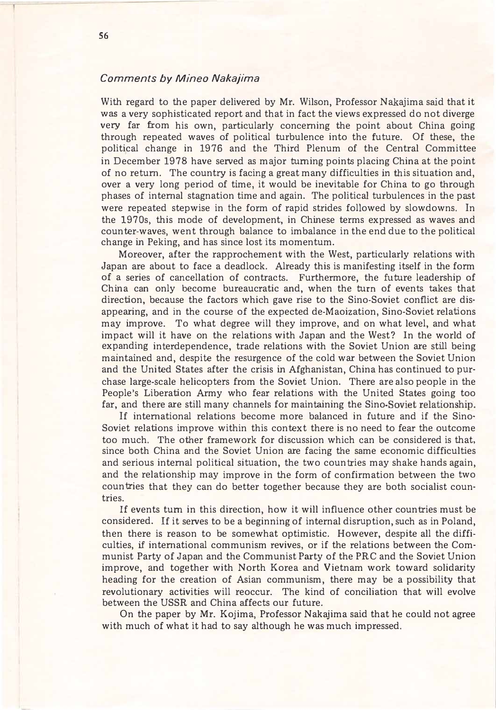## Comments by Mineo Nakajima

With regard to the paper delivered by Mr. Wilson, Professor Nakajima said that it was a very sophisticated report and that in fact the views expressed do not diverge very far from his own, particularly concerning the point about China going through repeated waves of political turbulence into the future. Of these, the political change in 1976 and the Third Plenum of the Central Committee in December  $1978$  have served as major turning points placing China at the point of no return. The country is facing a great many difficulties in this situation and, over a very long period of time, it would be inevitable for China to go through phases of internal stagnation time and again. The political turbulences in the past were repeated stepwise in the form of rapid strides followed by slowdowns. In the 1970s, this mode of development, in Chinese terms expressed as waves and counter-waves, went through balance to imbalance in the end due to the political change in Peking, and has since lost its momentum.

Moreover, after the rapprochement with the West, particularly relations with Japan are about to face a deadlock. Already this is manifesting itself in the form of a series of cancellation of contracts. Furthermore, the future leadership of China can only become bureaucratic and, when the turn of events takes that direction, because the factors which gave rise to the Sino・Soviet conflict are disappearing, and in the course of the expected de-Maoization, Sino-Soviet relations may improve. To what degree will they improve, and on what level, and what impact will it have on the relations with Japan and the West? In the world of expanding interdependence, trade relations with the Soviet Union are still being maintained and, despite the resurgence of the cold war between the Soviet Union and the United States after the crisis in Afghanistan, China has continued to purchase large-scale helicopters from the Soviet Union. There are also people in the People's Liberation Army who fear relations with the United States going too far, and there are still many channels for maintaining the Sino-Soviet relationship.

If international relations become more balanced in future and if the Sino-Soviet relations improve within this context there is no need to fear the outcome too much. The other framework for discussion which can be considered is that, since both China and the Soviet Union are facing the same economic difficulties and serious internal political situation, the two countries may shake hands again, and the relationship may improve in the form of confirmation between the two countries that they can do better together because they are both socialist countries.

If events tum in this direction, how it will influence other countries must be considered. If it serves to be a beginning of internal disruption, such as in Poland, then there is reason to be somewhat optimistic. However, despite all the difficulties, if international communism revives, or if the relations between the Communist Party of Japan and the Communist Party of the PRC and the Soviet Union improve, and together with North Korea and Vietnam work toward solidarity heading for the creation of Asian communism, there may be a possibility that revolutionary activities will reoccur. The kind of conciliation that will evolve between the USSR and China affects our future.

On the paper by Mr. Kojima, Professor Nakajima said that he could not agree with much of what it had to say although he was much impressed.

 $\mathcal{T}$